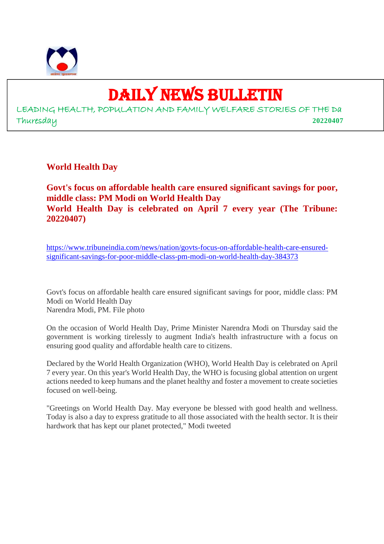

# DAILY NEWS BULLETIN

LEADING HEALTH, POPULATION AND FAMILY WELFARE STORIES OF THE Da Thuresday **20220407**

**World Health Day**

**Govt's focus on affordable health care ensured significant savings for poor, middle class: PM Modi on World Health Day World Health Day is celebrated on April 7 every year (The Tribune: 20220407)**

https://www.tribuneindia.com/news/nation/govts-focus-on-affordable-health-care-ensuredsignificant-savings-for-poor-middle-class-pm-modi-on-world-health-day-384373

Govt's focus on affordable health care ensured significant savings for poor, middle class: PM Modi on World Health Day Narendra Modi, PM. File photo

On the occasion of World Health Day, Prime Minister Narendra Modi on Thursday said the government is working tirelessly to augment India's health infrastructure with a focus on ensuring good quality and affordable health care to citizens.

Declared by the World Health Organization (WHO), World Health Day is celebrated on April 7 every year. On this year's World Health Day, the WHO is focusing global attention on urgent actions needed to keep humans and the planet healthy and foster a movement to create societies focused on well-being.

"Greetings on World Health Day. May everyone be blessed with good health and wellness. Today is also a day to express gratitude to all those associated with the health sector. It is their hardwork that has kept our planet protected," Modi tweeted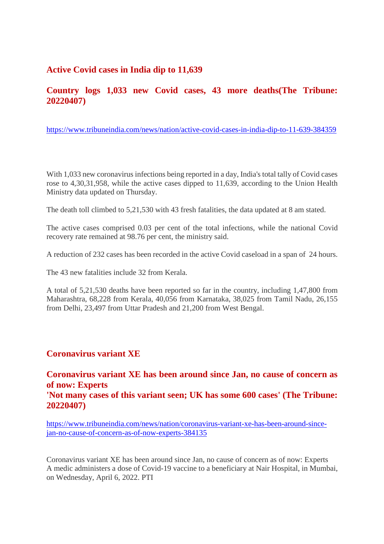#### **Active Covid cases in India dip to 11,639**

#### **Country logs 1,033 new Covid cases, 43 more deaths(The Tribune: 20220407)**

https://www.tribuneindia.com/news/nation/active-covid-cases-in-india-dip-to-11-639-384359

With 1,033 new coronavirus infections being reported in a day, India's total tally of Covid cases rose to 4,30,31,958, while the active cases dipped to 11,639, according to the Union Health Ministry data updated on Thursday.

The death toll climbed to 5,21,530 with 43 fresh fatalities, the data updated at 8 am stated.

The active cases comprised 0.03 per cent of the total infections, while the national Covid recovery rate remained at 98.76 per cent, the ministry said.

A reduction of 232 cases has been recorded in the active Covid caseload in a span of 24 hours.

The 43 new fatalities include 32 from Kerala.

A total of 5,21,530 deaths have been reported so far in the country, including 1,47,800 from Maharashtra, 68,228 from Kerala, 40,056 from Karnataka, 38,025 from Tamil Nadu, 26,155 from Delhi, 23,497 from Uttar Pradesh and 21,200 from West Bengal.

#### **Coronavirus variant XE**

### **Coronavirus variant XE has been around since Jan, no cause of concern as of now: Experts**

**'Not many cases of this variant seen; UK has some 600 cases' (The Tribune: 20220407)**

https://www.tribuneindia.com/news/nation/coronavirus-variant-xe-has-been-around-sincejan-no-cause-of-concern-as-of-now-experts-384135

Coronavirus variant XE has been around since Jan, no cause of concern as of now: Experts A medic administers a dose of Covid-19 vaccine to a beneficiary at Nair Hospital, in Mumbai, on Wednesday, April 6, 2022. PTI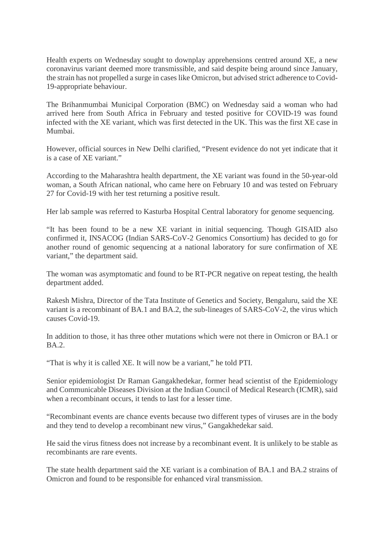Health experts on Wednesday sought to downplay apprehensions centred around XE, a new coronavirus variant deemed more transmissible, and said despite being around since January, the strain has not propelled a surge in cases like Omicron, but advised strict adherence to Covid-19-appropriate behaviour.

The Brihanmumbai Municipal Corporation (BMC) on Wednesday said a woman who had arrived here from South Africa in February and tested positive for COVID-19 was found infected with the XE variant, which was first detected in the UK. This was the first XE case in Mumbai.

However, official sources in New Delhi clarified, "Present evidence do not yet indicate that it is a case of XE variant."

According to the Maharashtra health department, the XE variant was found in the 50-year-old woman, a South African national, who came here on February 10 and was tested on February 27 for Covid-19 with her test returning a positive result.

Her lab sample was referred to Kasturba Hospital Central laboratory for genome sequencing.

"It has been found to be a new XE variant in initial sequencing. Though GISAID also confirmed it, INSACOG (Indian SARS-CoV-2 Genomics Consortium) has decided to go for another round of genomic sequencing at a national laboratory for sure confirmation of XE variant," the department said.

The woman was asymptomatic and found to be RT-PCR negative on repeat testing, the health department added.

Rakesh Mishra, Director of the Tata Institute of Genetics and Society, Bengaluru, said the XE variant is a recombinant of BA.1 and BA.2, the sub-lineages of SARS-CoV-2, the virus which causes Covid-19.

In addition to those, it has three other mutations which were not there in Omicron or BA.1 or  $BA<sub>2</sub>$ 

"That is why it is called XE. It will now be a variant," he told PTI.

Senior epidemiologist Dr Raman Gangakhedekar, former head scientist of the Epidemiology and Communicable Diseases Division at the Indian Council of Medical Research (ICMR), said when a recombinant occurs, it tends to last for a lesser time.

"Recombinant events are chance events because two different types of viruses are in the body and they tend to develop a recombinant new virus," Gangakhedekar said.

He said the virus fitness does not increase by a recombinant event. It is unlikely to be stable as recombinants are rare events.

The state health department said the XE variant is a combination of BA.1 and BA.2 strains of Omicron and found to be responsible for enhanced viral transmission.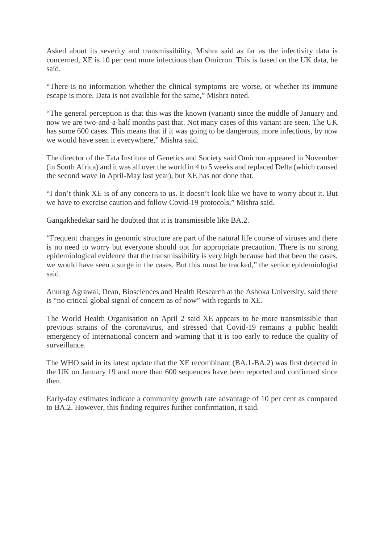Asked about its severity and transmissibility, Mishra said as far as the infectivity data is concerned, XE is 10 per cent more infectious than Omicron. This is based on the UK data, he said.

"There is no information whether the clinical symptoms are worse, or whether its immune escape is more. Data is not available for the same," Mishra noted.

"The general perception is that this was the known (variant) since the middle of January and now we are two-and-a-half months past that. Not many cases of this variant are seen. The UK has some 600 cases. This means that if it was going to be dangerous, more infectious, by now we would have seen it everywhere," Mishra said.

The director of the Tata Institute of Genetics and Society said Omicron appeared in November (in South Africa) and it was all over the world in 4 to 5 weeks and replaced Delta (which caused the second wave in April-May last year), but XE has not done that.

"I don't think XE is of any concern to us. It doesn't look like we have to worry about it. But we have to exercise caution and follow Covid-19 protocols," Mishra said.

Gangakhedekar said he doubted that it is transmissible like BA.2.

"Frequent changes in genomic structure are part of the natural life course of viruses and there is no need to worry but everyone should opt for appropriate precaution. There is no strong epidemiological evidence that the transmissibility is very high because had that been the cases, we would have seen a surge in the cases. But this must be tracked," the senior epidemiologist said.

Anurag Agrawal, Dean, Biosciences and Health Research at the Ashoka University, said there is "no critical global signal of concern as of now" with regards to XE.

The World Health Organisation on April 2 said XE appears to be more transmissible than previous strains of the coronavirus, and stressed that Covid-19 remains a public health emergency of international concern and warning that it is too early to reduce the quality of surveillance.

The WHO said in its latest update that the XE recombinant (BA.1-BA.2) was first detected in the UK on January 19 and more than 600 sequences have been reported and confirmed since then.

Early-day estimates indicate a community growth rate advantage of 10 per cent as compared to BA.2. However, this finding requires further confirmation, it said.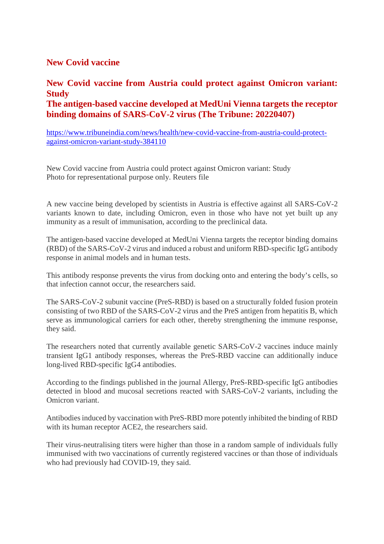#### **New Covid vaccine**

#### **New Covid vaccine from Austria could protect against Omicron variant: Study The antigen-based vaccine developed at MedUni Vienna targets the receptor binding domains of SARS-CoV-2 virus (The Tribune: 20220407)**

https://www.tribuneindia.com/news/health/new-covid-vaccine-from-austria-could-protectagainst-omicron-variant-study-384110

New Covid vaccine from Austria could protect against Omicron variant: Study Photo for representational purpose only. Reuters file

A new vaccine being developed by scientists in Austria is effective against all SARS-CoV-2 variants known to date, including Omicron, even in those who have not yet built up any immunity as a result of immunisation, according to the preclinical data.

The antigen-based vaccine developed at MedUni Vienna targets the receptor binding domains (RBD) of the SARS-CoV-2 virus and induced a robust and uniform RBD-specific IgG antibody response in animal models and in human tests.

This antibody response prevents the virus from docking onto and entering the body's cells, so that infection cannot occur, the researchers said.

The SARS-CoV-2 subunit vaccine (PreS-RBD) is based on a structurally folded fusion protein consisting of two RBD of the SARS-CoV-2 virus and the PreS antigen from hepatitis B, which serve as immunological carriers for each other, thereby strengthening the immune response, they said.

The researchers noted that currently available genetic SARS-CoV-2 vaccines induce mainly transient IgG1 antibody responses, whereas the PreS-RBD vaccine can additionally induce long-lived RBD-specific IgG4 antibodies.

According to the findings published in the journal Allergy, PreS-RBD-specific IgG antibodies detected in blood and mucosal secretions reacted with SARS-CoV-2 variants, including the Omicron variant.

Antibodies induced by vaccination with PreS-RBD more potently inhibited the binding of RBD with its human receptor ACE2, the researchers said.

Their virus-neutralising titers were higher than those in a random sample of individuals fully immunised with two vaccinations of currently registered vaccines or than those of individuals who had previously had COVID-19, they said.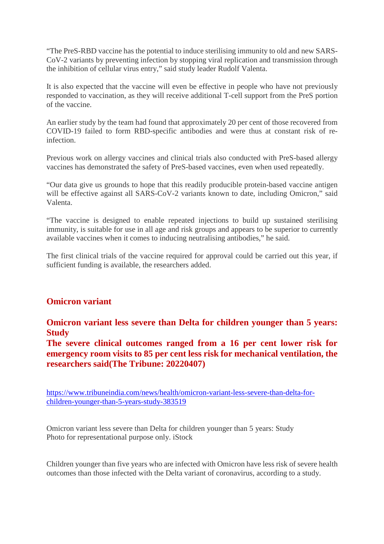"The PreS-RBD vaccine has the potential to induce sterilising immunity to old and new SARS-CoV-2 variants by preventing infection by stopping viral replication and transmission through the inhibition of cellular virus entry," said study leader Rudolf Valenta.

It is also expected that the vaccine will even be effective in people who have not previously responded to vaccination, as they will receive additional T-cell support from the PreS portion of the vaccine.

An earlier study by the team had found that approximately 20 per cent of those recovered from COVID-19 failed to form RBD-specific antibodies and were thus at constant risk of reinfection.

Previous work on allergy vaccines and clinical trials also conducted with PreS-based allergy vaccines has demonstrated the safety of PreS-based vaccines, even when used repeatedly.

"Our data give us grounds to hope that this readily producible protein-based vaccine antigen will be effective against all SARS-CoV-2 variants known to date, including Omicron," said Valenta.

"The vaccine is designed to enable repeated injections to build up sustained sterilising immunity, is suitable for use in all age and risk groups and appears to be superior to currently available vaccines when it comes to inducing neutralising antibodies," he said.

The first clinical trials of the vaccine required for approval could be carried out this year, if sufficient funding is available, the researchers added.

#### **Omicron variant**

**Omicron variant less severe than Delta for children younger than 5 years: Study**

**The severe clinical outcomes ranged from a 16 per cent lower risk for emergency room visits to 85 per cent less risk for mechanical ventilation, the researchers said(The Tribune: 20220407)**

https://www.tribuneindia.com/news/health/omicron-variant-less-severe-than-delta-forchildren-younger-than-5-years-study-383519

Omicron variant less severe than Delta for children younger than 5 years: Study Photo for representational purpose only. iStock

Children younger than five years who are infected with Omicron have less risk of severe health outcomes than those infected with the Delta variant of coronavirus, according to a study.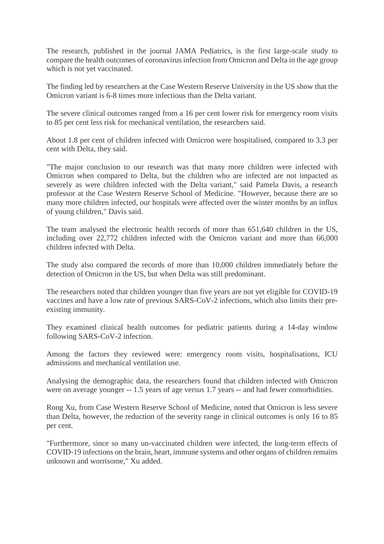The research, published in the journal JAMA Pediatrics, is the first large-scale study to compare the health outcomes of coronavirus infection from Omicron and Delta in the age group which is not yet vaccinated.

The finding led by researchers at the Case Western Reserve University in the US show that the Omicron variant is 6-8 times more infectious than the Delta variant.

The severe clinical outcomes ranged from a 16 per cent lower risk for emergency room visits to 85 per cent less risk for mechanical ventilation, the researchers said.

About 1.8 per cent of children infected with Omicron were hospitalised, compared to 3.3 per cent with Delta, they said.

"The major conclusion to our research was that many more children were infected with Omicron when compared to Delta, but the children who are infected are not impacted as severely as were children infected with the Delta variant," said Pamela Davis, a research professor at the Case Western Reserve School of Medicine. "However, because there are so many more children infected, our hospitals were affected over the winter months by an influx of young children," Davis said.

The team analysed the electronic health records of more than 651,640 children in the US, including over 22,772 children infected with the Omicron variant and more than 66,000 children infected with Delta.

The study also compared the records of more than 10,000 children immediately before the detection of Omicron in the US, but when Delta was still predominant.

The researchers noted that children younger than five years are not yet eligible for COVID-19 vaccines and have a low rate of previous SARS-CoV-2 infections, which also limits their preexisting immunity.

They examined clinical health outcomes for pediatric patients during a 14-day window following SARS-CoV-2 infection.

Among the factors they reviewed were: emergency room visits, hospitalisations, ICU admissions and mechanical ventilation use.

Analysing the demographic data, the researchers found that children infected with Omicron were on average younger -- 1.5 years of age versus 1.7 years -- and had fewer comorbidities.

Rong Xu, from Case Western Reserve School of Medicine, noted that Omicron is less severe than Delta, however, the reduction of the severity range in clinical outcomes is only 16 to 85 per cent.

"Furthermore, since so many un-vaccinated children were infected, the long-term effects of COVID-19 infections on the brain, heart, immune systems and other organs of children remains unknown and worrisome," Xu added.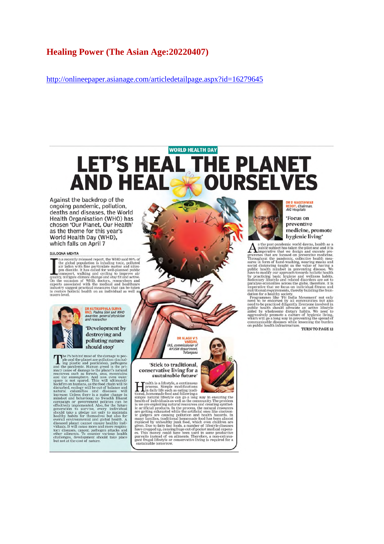#### **Healing Power (The Asian Age:20220407)**

http://onlineepaper.asianage.com/articledetailpage.aspx?id=16279645

### **WORLD HEALTH DAY** HE PLANET **LET'S HEAL 1 AND HEA RSELVES**

Against the backdrop of the ongoing pandemic, pollution, deaths and diseases, the World Health Organisation (WHO) has chosen 'Our Planet, Our Health' as the theme for this year's World Health Day (WHD), which falls on April 7

#### SULOGNA MEHTA

**SULOGNA MEHTA**<br>
The recently released report, the WHO said 99% of<br>
The global population is inhaling toxic, polluted<br>
air laden with fine particulate matter and nitro-<br>
gen dioxide. It has called for well-planned public<br>



## **DR KUTIKUPPALA SURYA<br>RAO, Padma Shri and WHO**<br>awardee, general physician<br>and researcher 'Development by

destroying and polluting nature should stop'

**Should Stop**<br> **Should Stop**<br> **Parameter** and the planet are pollution (included pregnal the parameter and pesticides), pathogens<br>
and the parameter. Human greed is the prince starting<br>
rangy cause of damage to the planet

IAS, commissioner of<br>AYUSH department,<br>Telangana 'Stick to traditional,

DR ALAGU V S

VAR

conservative living for a sustainable future'

**Sustainable future**<br> **Exp**erimentally is a lifestyle, a continuous<br>
In daily life such as eating traditions<br>
in daily life such as eating traditions<br>
simple natural lifestyle can go a long way in ensuring the<br>
health of



#### 'Focus on preventive medicine, promote hygienic living'

hygienic living"<br>
a ste post-pandemic world dawns, health as a pubblic subject has takent the pilot scata and it is<br>the imperative that we design and execute pro-<br>rivoughout the pandemic, collective headth measures in form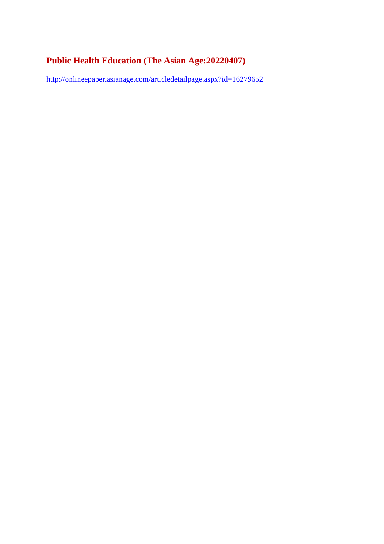### **Public Health Education (The Asian Age:20220407)**

http://onlineepaper.asianage.com/articledetailpage.aspx?id=16279652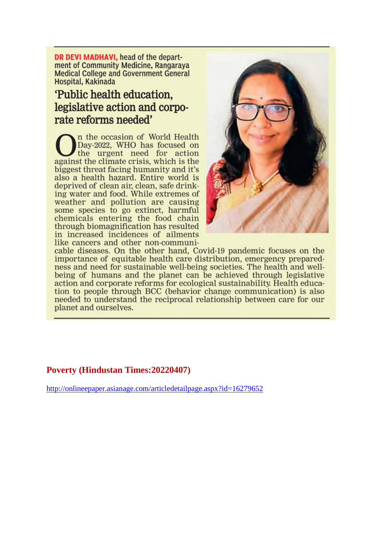DR DEVI MADHAVI, head of the department of Community Medicine, Rangaraya **Medical College and Government General** Hospital, Kakinada

## 'Public health education. legislative action and corporate reforms needed'

n the occasion of World Health Day-2022, WHO has focused on the urgent need for action against the climate crisis, which is the biggest threat facing humanity and it's also a health hazard. Entire world is deprived of clean air, clean, safe drinking water and food. While extremes of weather and pollution are causing<br>some species to go extinct, harmful chemicals entering the food chain through biomagnification has resulted in increased incidences of ailments like cancers and other non-communi-



cable diseases. On the other hand, Covid-19 pandemic focuses on the importance of equitable health care distribution, emergency preparedness and need for sustainable well-being societies. The health and wellbeing of humans and the planet can be achieved through legislative action and corporate reforms for ecological sustainability. Health education to people through BCC (behavior change communication) is also needed to understand the reciprocal relationship between care for our planet and ourselves.

#### **Poverty (Hindustan Times:20220407)**

http://onlineepaper.asianage.com/articledetailpage.aspx?id=16279652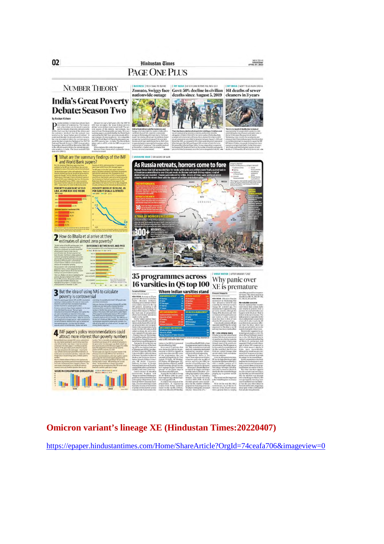

### **Omicron variant's lineage XE (Hindustan Times:20220407)**

https://epaper.hindustantimes.com/Home/ShareArticle?OrgId=74ceafa706&imageview=0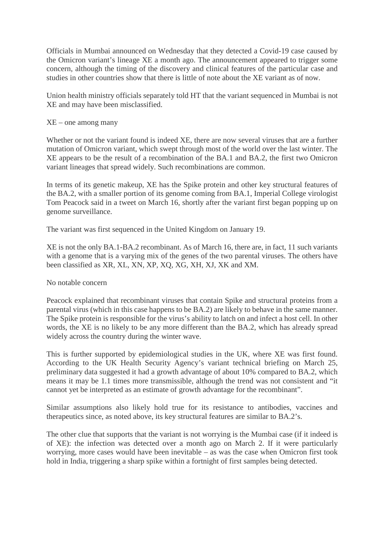Officials in Mumbai announced on Wednesday that they detected a Covid-19 case caused by the Omicron variant's lineage XE a month ago. The announcement appeared to trigger some concern, although the timing of the discovery and clinical features of the particular case and studies in other countries show that there is little of note about the XE variant as of now.

Union health ministry officials separately told HT that the variant sequenced in Mumbai is not XE and may have been misclassified.

#### XE – one among many

Whether or not the variant found is indeed XE, there are now several viruses that are a further mutation of Omicron variant, which swept through most of the world over the last winter. The XE appears to be the result of a recombination of the BA.1 and BA.2, the first two Omicron variant lineages that spread widely. Such recombinations are common.

In terms of its genetic makeup, XE has the Spike protein and other key structural features of the BA.2, with a smaller portion of its genome coming from BA.1, Imperial College virologist Tom Peacock said in a tweet on March 16, shortly after the variant first began popping up on genome surveillance.

The variant was first sequenced in the United Kingdom on January 19.

XE is not the only BA.1-BA.2 recombinant. As of March 16, there are, in fact, 11 such variants with a genome that is a varying mix of the genes of the two parental viruses. The others have been classified as XR, XL, XN, XP, XQ, XG, XH, XJ, XK and XM.

#### No notable concern

Peacock explained that recombinant viruses that contain Spike and structural proteins from a parental virus (which in this case happens to be BA.2) are likely to behave in the same manner. The Spike protein is responsible for the virus's ability to latch on and infect a host cell. In other words, the XE is no likely to be any more different than the BA.2, which has already spread widely across the country during the winter wave.

This is further supported by epidemiological studies in the UK, where XE was first found. According to the UK Health Security Agency's variant technical briefing on March 25, preliminary data suggested it had a growth advantage of about 10% compared to BA.2, which means it may be 1.1 times more transmissible, although the trend was not consistent and "it cannot yet be interpreted as an estimate of growth advantage for the recombinant".

Similar assumptions also likely hold true for its resistance to antibodies, vaccines and therapeutics since, as noted above, its key structural features are similar to BA.2's.

The other clue that supports that the variant is not worrying is the Mumbai case (if it indeed is of XE): the infection was detected over a month ago on March 2. If it were particularly worrying, more cases would have been inevitable – as was the case when Omicron first took hold in India, triggering a sharp spike within a fortnight of first samples being detected.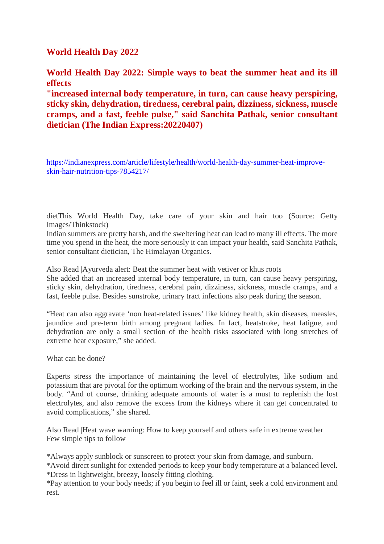#### **World Health Day 2022**

**World Health Day 2022: Simple ways to beat the summer heat and its ill effects**

**"increased internal body temperature, in turn, can cause heavy perspiring, sticky skin, dehydration, tiredness, cerebral pain, dizziness, sickness, muscle cramps, and a fast, feeble pulse," said Sanchita Pathak, senior consultant dietician (The Indian Express:20220407)**

https://indianexpress.com/article/lifestyle/health/world-health-day-summer-heat-improveskin-hair-nutrition-tips-7854217/

dietThis World Health Day, take care of your skin and hair too (Source: Getty Images/Thinkstock)

Indian summers are pretty harsh, and the sweltering heat can lead to many ill effects. The more time you spend in the heat, the more seriously it can impact your health, said Sanchita Pathak, senior consultant dietician, The Himalayan Organics.

Also Read |Ayurveda alert: Beat the summer heat with vetiver or khus roots

She added that an increased internal body temperature, in turn, can cause heavy perspiring, sticky skin, dehydration, tiredness, cerebral pain, dizziness, sickness, muscle cramps, and a fast, feeble pulse. Besides sunstroke, urinary tract infections also peak during the season.

"Heat can also aggravate 'non heat-related issues' like kidney health, skin diseases, measles, jaundice and pre-term birth among pregnant ladies. In fact, heatstroke, heat fatigue, and dehydration are only a small section of the health risks associated with long stretches of extreme heat exposure," she added.

What can be done?

Experts stress the importance of maintaining the level of electrolytes, like sodium and potassium that are pivotal for the optimum working of the brain and the nervous system, in the body. "And of course, drinking adequate amounts of water is a must to replenish the lost electrolytes, and also remove the excess from the kidneys where it can get concentrated to avoid complications," she shared.

Also Read |Heat wave warning: How to keep yourself and others safe in extreme weather Few simple tips to follow

\*Always apply sunblock or sunscreen to protect your skin from damage, and sunburn.

\*Avoid direct sunlight for extended periods to keep your body temperature at a balanced level. \*Dress in lightweight, breezy, loosely fitting clothing.

\*Pay attention to your body needs; if you begin to feel ill or faint, seek a cold environment and rest.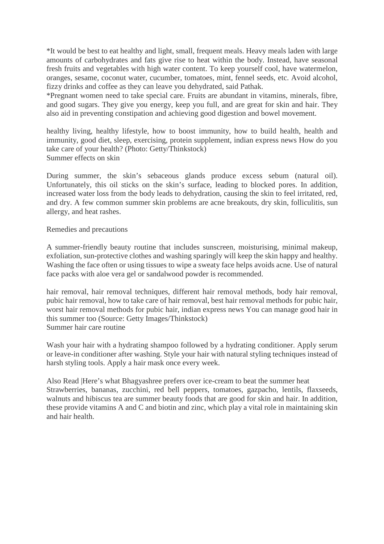\*It would be best to eat healthy and light, small, frequent meals. Heavy meals laden with large amounts of carbohydrates and fats give rise to heat within the body. Instead, have seasonal fresh fruits and vegetables with high water content. To keep yourself cool, have watermelon, oranges, sesame, coconut water, cucumber, tomatoes, mint, fennel seeds, etc. Avoid alcohol, fizzy drinks and coffee as they can leave you dehydrated, said Pathak.

\*Pregnant women need to take special care. Fruits are abundant in vitamins, minerals, fibre, and good sugars. They give you energy, keep you full, and are great for skin and hair. They also aid in preventing constipation and achieving good digestion and bowel movement.

healthy living, healthy lifestyle, how to boost immunity, how to build health, health and immunity, good diet, sleep, exercising, protein supplement, indian express news How do you take care of your health? (Photo: Getty/Thinkstock) Summer effects on skin

During summer, the skin's sebaceous glands produce excess sebum (natural oil). Unfortunately, this oil sticks on the skin's surface, leading to blocked pores. In addition, increased water loss from the body leads to dehydration, causing the skin to feel irritated, red, and dry. A few common summer skin problems are acne breakouts, dry skin, folliculitis, sun allergy, and heat rashes.

Remedies and precautions

A summer-friendly beauty routine that includes sunscreen, moisturising, minimal makeup, exfoliation, sun-protective clothes and washing sparingly will keep the skin happy and healthy. Washing the face often or using tissues to wipe a sweaty face helps avoids acne. Use of natural face packs with aloe vera gel or sandalwood powder is recommended.

hair removal, hair removal techniques, different hair removal methods, body hair removal, pubic hair removal, how to take care of hair removal, best hair removal methods for pubic hair, worst hair removal methods for pubic hair, indian express news You can manage good hair in this summer too (Source: Getty Images/Thinkstock) Summer hair care routine

Wash your hair with a hydrating shampoo followed by a hydrating conditioner. Apply serum or leave-in conditioner after washing. Style your hair with natural styling techniques instead of harsh styling tools. Apply a hair mask once every week.

Also Read |Here's what Bhagyashree prefers over ice-cream to beat the summer heat Strawberries, bananas, zucchini, red bell peppers, tomatoes, gazpacho, lentils, flaxseeds, walnuts and hibiscus tea are summer beauty foods that are good for skin and hair. In addition, these provide vitamins A and C and biotin and zinc, which play a vital role in maintaining skin and hair health.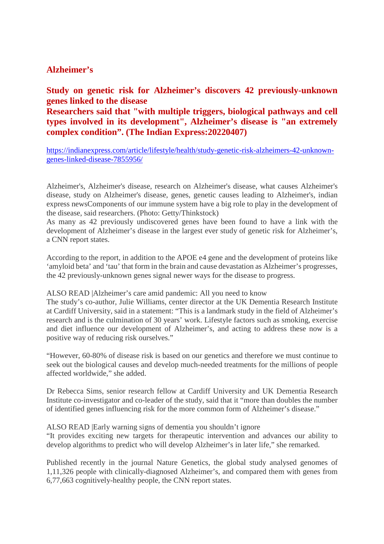#### **Alzheimer's**

#### **Study on genetic risk for Alzheimer's discovers 42 previously-unknown genes linked to the disease**

**Researchers said that "with multiple triggers, biological pathways and cell types involved in its development", Alzheimer's disease is "an extremely complex condition". (The Indian Express:20220407)**

https://indianexpress.com/article/lifestyle/health/study-genetic-risk-alzheimers-42-unknowngenes-linked-disease-7855956/

Alzheimer's, Alzheimer's disease, research on Alzheimer's disease, what causes Alzheimer's disease, study on Alzheimer's disease, genes, genetic causes leading to Alzheimer's, indian express newsComponents of our immune system have a big role to play in the development of the disease, said researchers. (Photo: Getty/Thinkstock)

As many as 42 previously undiscovered genes have been found to have a link with the development of Alzheimer's disease in the largest ever study of genetic risk for Alzheimer's, a CNN report states.

According to the report, in addition to the APOE e4 gene and the development of proteins like 'amyloid beta' and 'tau' that form in the brain and cause devastation as Alzheimer's progresses, the 42 previously-unknown genes signal newer ways for the disease to progress.

ALSO READ |Alzheimer's care amid pandemic: All you need to know

The study's co-author, Julie Williams, center director at the UK Dementia Research Institute at Cardiff University, said in a statement: "This is a landmark study in the field of Alzheimer's research and is the culmination of 30 years' work. Lifestyle factors such as smoking, exercise and diet influence our development of Alzheimer's, and acting to address these now is a positive way of reducing risk ourselves."

"However, 60-80% of disease risk is based on our genetics and therefore we must continue to seek out the biological causes and develop much-needed treatments for the millions of people affected worldwide," she added.

Dr Rebecca Sims, senior research fellow at Cardiff University and UK Dementia Research Institute co-investigator and co-leader of the study, said that it "more than doubles the number of identified genes influencing risk for the more common form of Alzheimer's disease."

ALSO READ |Early warning signs of dementia you shouldn't ignore

"It provides exciting new targets for therapeutic intervention and advances our ability to develop algorithms to predict who will develop Alzheimer's in later life," she remarked.

Published recently in the journal Nature Genetics, the global study analysed genomes of 1,11,326 people with clinically-diagnosed Alzheimer's, and compared them with genes from 6,77,663 cognitively-healthy people, the CNN report states.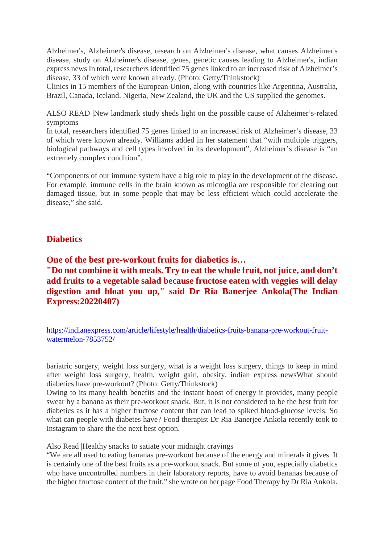Alzheimer's, Alzheimer's disease, research on Alzheimer's disease, what causes Alzheimer's disease, study on Alzheimer's disease, genes, genetic causes leading to Alzheimer's, indian express news In total, researchers identified 75 genes linked to an increased risk of Alzheimer's disease, 33 of which were known already. (Photo: Getty/Thinkstock)

Clinics in 15 members of the European Union, along with countries like Argentina, Australia, Brazil, Canada, Iceland, Nigeria, New Zealand, the UK and the US supplied the genomes.

ALSO READ |New landmark study sheds light on the possible cause of Alzheimer's-related symptoms

In total, researchers identified 75 genes linked to an increased risk of Alzheimer's disease, 33 of which were known already. Williams added in her statement that "with multiple triggers, biological pathways and cell types involved in its development", Alzheimer's disease is "an extremely complex condition".

"Components of our immune system have a big role to play in the development of the disease. For example, immune cells in the brain known as microglia are responsible for clearing out damaged tissue, but in some people that may be less efficient which could accelerate the disease," she said.

#### **Diabetics**

**One of the best pre-workout fruits for diabetics is… "Do not combine it with meals. Try to eat the whole fruit, not juice, and don't add fruits to a vegetable salad because fructose eaten with veggies will delay digestion and bloat you up," said Dr Ria Banerjee Ankola(The Indian Express:20220407)**

https://indianexpress.com/article/lifestyle/health/diabetics-fruits-banana-pre-workout-fruitwatermelon-7853752/

bariatric surgery, weight loss surgery, what is a weight loss surgery, things to keep in mind after weight loss surgery, health, weight gain, obesity, indian express newsWhat should diabetics have pre-workout? (Photo: Getty/Thinkstock)

Owing to its many health benefits and the instant boost of energy it provides, many people swear by a banana as their pre-workout snack. But, it is not considered to be the best fruit for diabetics as it has a higher fructose content that can lead to spiked blood-glucose levels. So what can people with diabetes have? Food therapist Dr Ria Banerjee Ankola recently took to Instagram to share the the next best option.

Also Read |Healthy snacks to satiate your midnight cravings

"We are all used to eating bananas pre-workout because of the energy and minerals it gives. It is certainly one of the best fruits as a pre-workout snack. But some of you, especially diabetics who have uncontrolled numbers in their laboratory reports, have to avoid bananas because of the higher fructose content of the fruit," she wrote on her page Food Therapy by Dr Ria Ankola.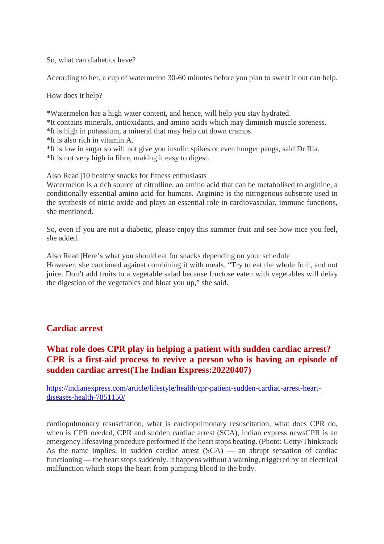So, what can diabetics have?

According to her, a cup of watermelon 30-60 minutes before you plan to sweat it out can help.

How does it help?

\*Watermelon has a high water content, and hence, will help you stay hydrated.

\*It contains minerals, antioxidants, and amino acids which may diminish muscle soreness.

\*It is high in potassium, a mineral that may help cut down cramps.

\*It is also rich in vitamin A.

\*It is low in sugar so will not give you insulin spikes or even hunger pangs, said Dr Ria.

\*It is not very high in fibre, making it easy to digest.

Also Read |10 healthy snacks for fitness enthusiasts

Watermelon is a rich source of citrulline, an amino acid that can be metabolised to arginine, a conditionally essential amino acid for humans. Arginine is the nitrogenous substrate used in the synthesis of nitric oxide and plays an essential role in cardiovascular, immune functions, she mentioned.

So, even if you are not a diabetic, please enjoy this summer fruit and see how nice you feel, she added.

Also Read |Here's what you should eat for snacks depending on your schedule However, she cautioned against combining it with meals. "Try to eat the whole fruit, and not juice. Don't add fruits to a vegetable salad because fructose eaten with vegetables will delay the digestion of the vegetables and bloat you up," she said.

#### **Cardiac arrest**

#### **What role does CPR play in helping a patient with sudden cardiac arrest? CPR is a first-aid process to revive a person who is having an episode of sudden cardiac arrest(The Indian Express:20220407)**

https://indianexpress.com/article/lifestyle/health/cpr-patient-sudden-cardiac-arrest-heartdiseases-health-7851150/

cardiopulmonary resuscitation, what is cardiopulmonary resuscitation, what does CPR do, when is CPR needed, CPR and sudden cardiac arrest (SCA), indian express newsCPR is an emergency lifesaving procedure performed if the heart stops beating. (Photo: Getty/Thinkstock As the name implies, in sudden cardiac arrest  $(SCA)$  — an abrupt sensation of cardiac functioning — the heart stops suddenly. It happens without a warning, triggered by an electrical malfunction which stops the heart from pumping blood to the body.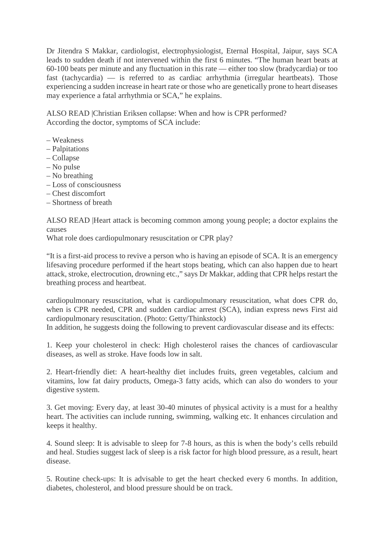Dr Jitendra S Makkar, cardiologist, electrophysiologist, Eternal Hospital, Jaipur, says SCA leads to sudden death if not intervened within the first 6 minutes. "The human heart beats at 60-100 beats per minute and any fluctuation in this rate — either too slow (bradycardia) or too fast (tachycardia) — is referred to as cardiac arrhythmia (irregular heartbeats). Those experiencing a sudden increase in heart rate or those who are genetically prone to heart diseases may experience a fatal arrhythmia or SCA," he explains.

ALSO READ |Christian Eriksen collapse: When and how is CPR performed? According the doctor, symptoms of SCA include:

- Weakness
- Palpitations
- Collapse
- No pulse
- No breathing
- Loss of consciousness
- Chest discomfort
- Shortness of breath

ALSO READ |Heart attack is becoming common among young people; a doctor explains the causes

What role does cardiopulmonary resuscitation or CPR play?

"It is a first-aid process to revive a person who is having an episode of SCA. It is an emergency lifesaving procedure performed if the heart stops beating, which can also happen due to heart attack, stroke, electrocution, drowning etc.," says Dr Makkar, adding that CPR helps restart the breathing process and heartbeat.

cardiopulmonary resuscitation, what is cardiopulmonary resuscitation, what does CPR do, when is CPR needed, CPR and sudden cardiac arrest (SCA), indian express news First aid cardiopulmonary resuscitation. (Photo: Getty/Thinkstock)

In addition, he suggests doing the following to prevent cardiovascular disease and its effects:

1. Keep your cholesterol in check: High cholesterol raises the chances of cardiovascular diseases, as well as stroke. Have foods low in salt.

2. Heart-friendly diet: A heart-healthy diet includes fruits, green vegetables, calcium and vitamins, low fat dairy products, Omega-3 fatty acids, which can also do wonders to your digestive system.

3. Get moving: Every day, at least 30-40 minutes of physical activity is a must for a healthy heart. The activities can include running, swimming, walking etc. It enhances circulation and keeps it healthy.

4. Sound sleep: It is advisable to sleep for 7-8 hours, as this is when the body's cells rebuild and heal. Studies suggest lack of sleep is a risk factor for high blood pressure, as a result, heart disease.

5. Routine check-ups: It is advisable to get the heart checked every 6 months. In addition, diabetes, cholesterol, and blood pressure should be on track.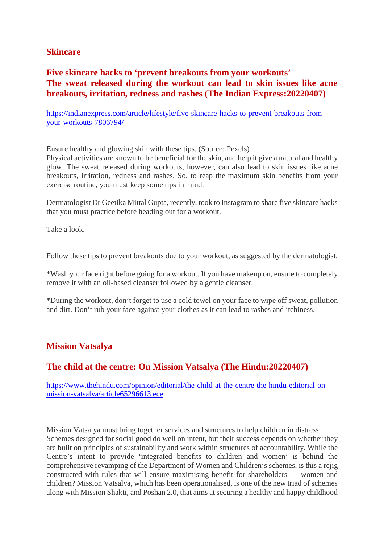#### **Skincare**

### **Five skincare hacks to 'prevent breakouts from your workouts' The sweat released during the workout can lead to skin issues like acne breakouts, irritation, redness and rashes (The Indian Express:20220407)**

https://indianexpress.com/article/lifestyle/five-skincare-hacks-to-prevent-breakouts-fromyour-workouts-7806794/

Ensure healthy and glowing skin with these tips. (Source: Pexels)

Physical activities are known to be beneficial for the skin, and help it give a natural and healthy glow. The sweat released during workouts, however, can also lead to skin issues like acne breakouts, irritation, redness and rashes. So, to reap the maximum skin benefits from your exercise routine, you must keep some tips in mind.

Dermatologist Dr Geetika Mittal Gupta, recently, took to Instagram to share five skincare hacks that you must practice before heading out for a workout.

Take a look.

Follow these tips to prevent breakouts due to your workout, as suggested by the dermatologist.

\*Wash your face right before going for a workout. If you have makeup on, ensure to completely remove it with an oil-based cleanser followed by a gentle cleanser.

\*During the workout, don't forget to use a cold towel on your face to wipe off sweat, pollution and dirt. Don't rub your face against your clothes as it can lead to rashes and itchiness.

#### **Mission Vatsalya**

#### **The child at the centre: On Mission Vatsalya (The Hindu:20220407)**

https://www.thehindu.com/opinion/editorial/the-child-at-the-centre-the-hindu-editorial-onmission-vatsalya/article65296613.ece

Mission Vatsalya must bring together services and structures to help children in distress Schemes designed for social good do well on intent, but their success depends on whether they are built on principles of sustainability and work within structures of accountability. While the Centre's intent to provide 'integrated benefits to children and women' is behind the comprehensive revamping of the Department of Women and Children's schemes, is this a rejig constructed with rules that will ensure maximising benefit for shareholders — women and children? Mission Vatsalya, which has been operationalised, is one of the new triad of schemes along with Mission Shakti, and Poshan 2.0, that aims at securing a healthy and happy childhood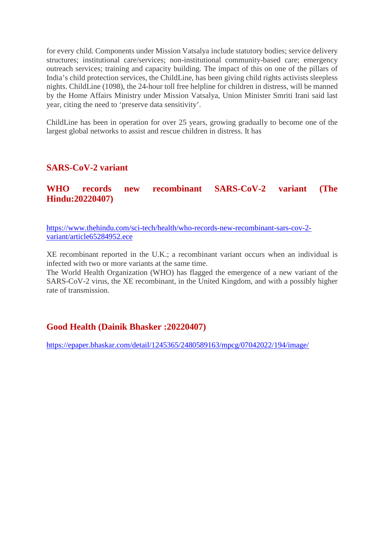for every child. Components under Mission Vatsalya include statutory bodies; service delivery structures; institutional care/services; non-institutional community-based care; emergency outreach services; training and capacity building. The impact of this on one of the pillars of India's child protection services, the ChildLine, has been giving child rights activists sleepless nights. ChildLine (1098), the 24-hour toll free helpline for children in distress, will be manned by the Home Affairs Ministry under Mission Vatsalya, Union Minister Smriti Irani said last year, citing the need to 'preserve data sensitivity'.

ChildLine has been in operation for over 25 years, growing gradually to become one of the largest global networks to assist and rescue children in distress. It has

#### **SARS-CoV-2 variant**

**WHO records new recombinant SARS-CoV-2 variant (The Hindu:20220407)**

https://www.thehindu.com/sci-tech/health/who-records-new-recombinant-sars-cov-2 variant/article65284952.ece

XE recombinant reported in the U.K.; a recombinant variant occurs when an individual is infected with two or more variants at the same time.

The World Health Organization (WHO) has flagged the emergence of a new variant of the SARS-CoV-2 virus, the XE recombinant, in the United Kingdom, and with a possibly higher rate of transmission.

#### **Good Health (Dainik Bhasker :20220407)**

https://epaper.bhaskar.com/detail/1245365/2480589163/mpcg/07042022/194/image/